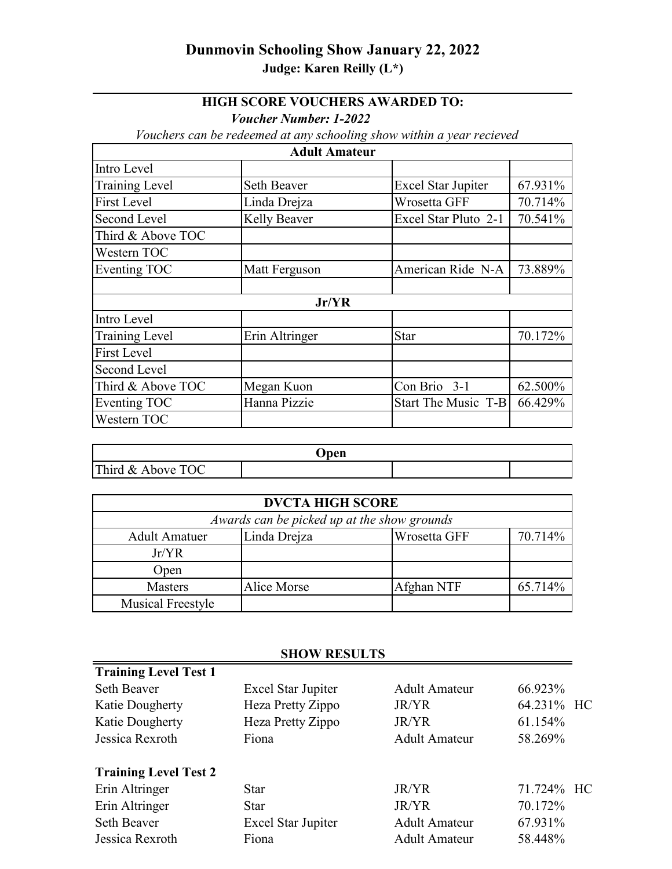## **Dunmovin Schooling Show January 22, 2022 Judge: Karen Reilly (L\*)**

## **HIGH SCORE VOUCHERS AWARDED TO:**

*Voucher Number: 1-2022*

*Vouchers can be redeemed at any schooling show within a year recieved* 

| <b>Adult Amateur</b>  |                |                           |         |
|-----------------------|----------------|---------------------------|---------|
| Intro Level           |                |                           |         |
| <b>Training Level</b> | Seth Beaver    | <b>Excel Star Jupiter</b> | 67.931% |
| <b>First Level</b>    | Linda Drejza   | Wrosetta GFF              | 70.714% |
| Second Level          | Kelly Beaver   | Excel Star Pluto 2-1      | 70.541% |
| Third & Above TOC     |                |                           |         |
| Western TOC           |                |                           |         |
| Eventing TOC          | Matt Ferguson  | American Ride N-A         | 73.889% |
|                       |                |                           |         |
| Jr/YR                 |                |                           |         |
| Intro Level           |                |                           |         |
| <b>Training Level</b> | Erin Altringer | <b>Star</b>               | 70.172% |
| <b>First Level</b>    |                |                           |         |
| Second Level          |                |                           |         |
| Third & Above TOC     | Megan Kuon     | Con Brio 3-1              | 62.500% |
| Eventing TOC          | Hanna Pizzie   | Start The Music T-B       | 66.429% |
| Western TOC           |                |                           |         |

| Open              |  |  |  |
|-------------------|--|--|--|
| Third & Above TOC |  |  |  |

| <b>DVCTA HIGH SCORE</b>                     |              |              |         |
|---------------------------------------------|--------------|--------------|---------|
| Awards can be picked up at the show grounds |              |              |         |
| <b>Adult Amatuer</b>                        | Linda Drejza | Wrosetta GFF | 70.714% |
| Jr/YR                                       |              |              |         |
| Open                                        |              |              |         |
| <b>Masters</b>                              | Alice Morse  | Afghan NTF   | 65.714% |
| <b>Musical Freestyle</b>                    |              |              |         |

## **SHOW RESULTS**

| <b>Training Level Test 1</b> |                           |                      |            |
|------------------------------|---------------------------|----------------------|------------|
| Seth Beaver                  | <b>Excel Star Jupiter</b> | Adult Amateur        | 66.923%    |
| Katie Dougherty              | Heza Pretty Zippo         | <b>JR/YR</b>         | 64.231% HC |
| Katie Dougherty              | Heza Pretty Zippo         | <b>JR/YR</b>         | 61.154%    |
| Jessica Rexroth              | Fiona                     | <b>Adult Amateur</b> | 58.269%    |
| <b>Training Level Test 2</b> |                           |                      |            |
| Erin Altringer               | <b>Star</b>               | <b>JR/YR</b>         | 71.724% HC |
| Erin Altringer               | <b>Star</b>               | JR/YR                | 70.172%    |
| <b>Seth Beaver</b>           | <b>Excel Star Jupiter</b> | <b>Adult Amateur</b> | 67.931%    |
| Jessica Rexroth              | Fiona                     | <b>Adult Amateur</b> | 58.448%    |